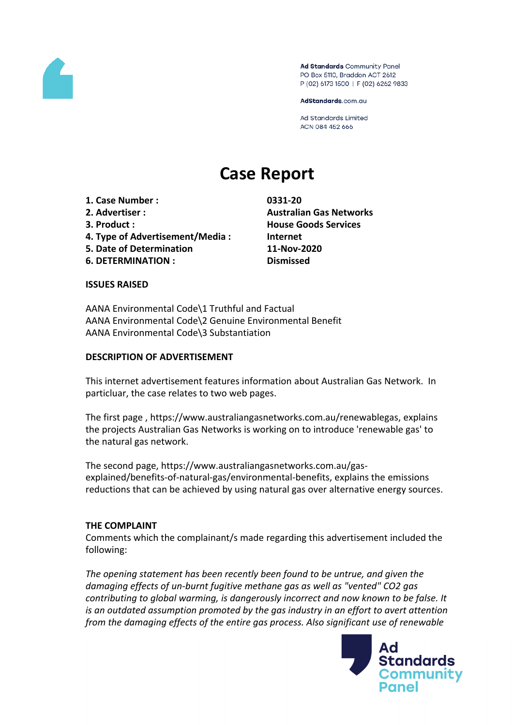

Ad Standards Community Panel PO Box 5110, Braddon ACT 2612 P (02) 6173 1500 | F (02) 6262 9833

AdStandards.com.au

**Ad Standards Limited** ACN 084 452 666

# **Case Report**

**1. Case Number : 0331-20**

- 
- 
- **4. Type of Advertisement/Media : Internet**
- **5. Date of Determination 11-Nov-2020**
- **6. DETERMINATION : Dismissed**

**2. Advertiser : Australian Gas Networks 3. Product : House Goods Services**

#### **ISSUES RAISED**

AANA Environmental Code\1 Truthful and Factual AANA Environmental Code\2 Genuine Environmental Benefit AANA Environmental Code\3 Substantiation

#### **DESCRIPTION OF ADVERTISEMENT**

This internet advertisement features information about Australian Gas Network. In particluar, the case relates to two web pages.

The first page , https://www.australiangasnetworks.com.au/renewablegas, explains the projects Australian Gas Networks is working on to introduce 'renewable gas' to the natural gas network.

The second page, https://www.australiangasnetworks.com.au/gasexplained/benefits-of-natural-gas/environmental-benefits, explains the emissions reductions that can be achieved by using natural gas over alternative energy sources.

#### **THE COMPLAINT**

Comments which the complainant/s made regarding this advertisement included the following:

*The opening statement has been recently been found to be untrue, and given the damaging effects of un-burnt fugitive methane gas as well as "vented" CO2 gas contributing to global warming, is dangerously incorrect and now known to be false. It is an outdated assumption promoted by the gas industry in an effort to avert attention from the damaging effects of the entire gas process. Also significant use of renewable*

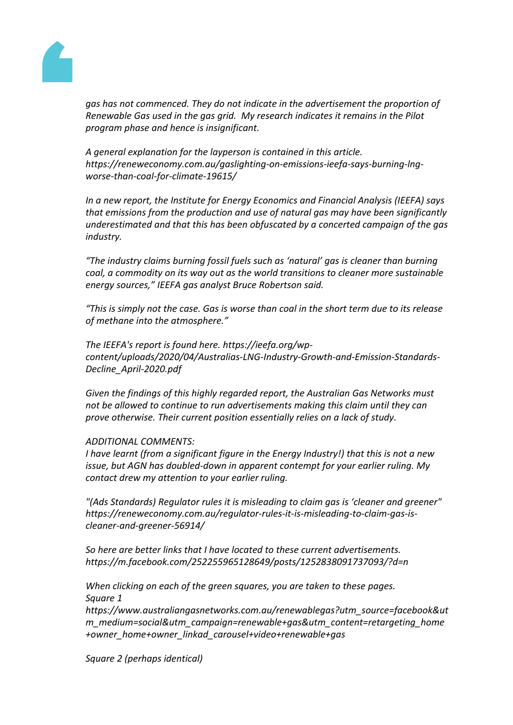

*gas has not commenced. They do not indicate in the advertisement the proportion of Renewable Gas used in the gas grid. My research indicates it remains in the Pilot program phase and hence is insignificant.*

*A general explanation for the layperson is contained in this article. https://reneweconomy.com.au/gaslighting-on-emissions-ieefa-says-burning-lngworse-than-coal-for-climate-19615/* 

*In a new report, the Institute for Energy Economics and Financial Analysis (IEEFA) says that emissions from the production and use of natural gas may have been significantly underestimated and that this has been obfuscated by a concerted campaign of the gas industry.*

*"The industry claims burning fossil fuels such as 'natural' gas is cleaner than burning coal, a commodity on its way out as the world transitions to cleaner more sustainable energy sources," IEEFA gas analyst Bruce Robertson said.*

*"This is simply not the case. Gas is worse than coal in the short term due to its release of methane into the atmosphere."*

*The IEEFA's report is found here. https://ieefa.org/wpcontent/uploads/2020/04/Australias-LNG-Industry-Growth-and-Emission-Standards-Decline\_April-2020.pdf*

*Given the findings of this highly regarded report, the Australian Gas Networks must not be allowed to continue to run advertisements making this claim until they can prove otherwise. Their current position essentially relies on a lack of study.* 

#### *ADDITIONAL COMMENTS:*

*I have learnt (from a significant figure in the Energy Industry!) that this is not a new issue, but AGN has doubled-down in apparent contempt for your earlier ruling. My contact drew my attention to your earlier ruling.*

*"(Ads Standards) Regulator rules it is misleading to claim gas is 'cleaner and greener" https://reneweconomy.com.au/regulator-rules-it-is-misleading-to-claim-gas-iscleaner-and-greener-56914/*

*So here are better links that I have located to these current advertisements. https://m.facebook.com/252255965128649/posts/1252838091737093/?d=n*

*When clicking on each of the green squares, you are taken to these pages. Square 1*

*https://www.australiangasnetworks.com.au/renewablegas?utm\_source=facebook&ut m\_medium=social&utm\_campaign=renewable+gas&utm\_content=retargeting\_home +owner\_home+owner\_linkad\_carousel+video+renewable+gas*

*Square 2 (perhaps identical)*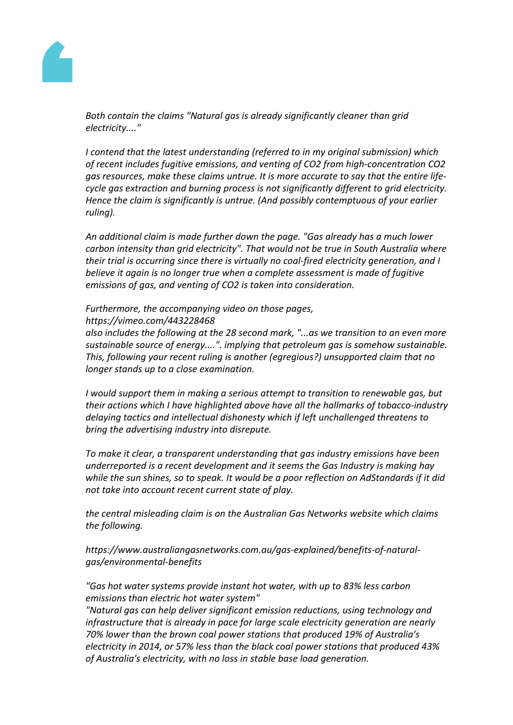

*Both contain the claims "Natural gas is already significantly cleaner than grid electricity...."*

*I contend that the latest understanding (referred to in my original submission) which of recent includes fugitive emissions, and venting of CO2 from high-concentration CO2 gas resources, make these claims untrue. It is more accurate to say that the entire lifecycle gas extraction and burning process is not significantly different to grid electricity. Hence the claim is significantly is untrue. (And possibly contemptuous of your earlier ruling).*

*An additional claim is made further down the page. "Gas already has a much lower carbon intensity than grid electricity". That would not be true in South Australia where their trial is occurring since there is virtually no coal-fired electricity generation, and I believe it again is no longer true when a complete assessment is made of fugitive emissions of gas, and venting of CO2 is taken into consideration.*

#### *Furthermore, the accompanying video on those pages, https://vimeo.com/443228468*

*also includes the following at the 28 second mark, "...as we transition to an even more sustainable source of energy....". implying that petroleum gas is somehow sustainable. This, following your recent ruling is another (egregious?) unsupported claim that no longer stands up to a close examination.*

*I would support them in making a serious attempt to transition to renewable gas, but their actions which I have highlighted above have all the hallmarks of tobacco-industry delaying tactics and intellectual dishonesty which if left unchallenged threatens to bring the advertising industry into disrepute.*

*To make it clear, a transparent understanding that gas industry emissions have been underreported is a recent development and it seems the Gas Industry is making hay while the sun shines, so to speak. It would be a poor reflection on AdStandards if it did not take into account recent current state of play.*

*the central misleading claim is on the Australian Gas Networks website which claims the following.*

*https://www.australiangasnetworks.com.au/gas-explained/benefits-of-naturalgas/environmental-benefits*

*"Gas hot water systems provide instant hot water, with up to 83% less carbon emissions than electric hot water system"*

*"Natural gas can help deliver significant emission reductions, using technology and infrastructure that is already in pace for large scale electricity generation are nearly 70% lower than the brown coal power stations that produced 19% of Australia's electricity in 2014, or 57% less than the black coal power stations that produced 43% of Australia's electricity, with no loss in stable base load generation.*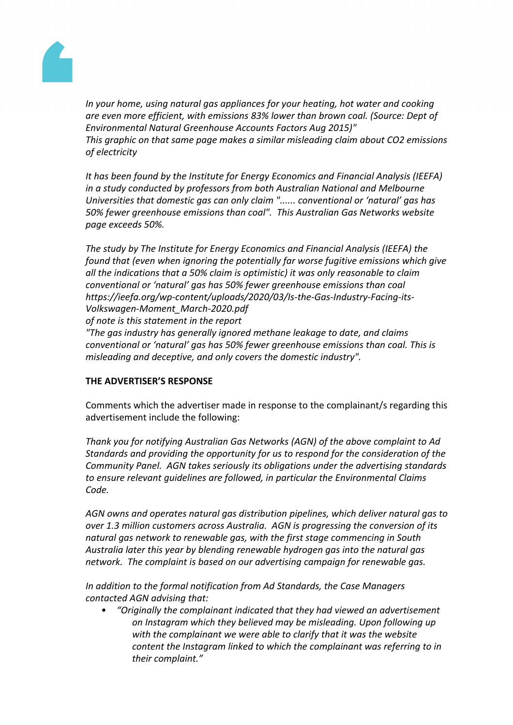

*In your home, using natural gas appliances for your heating, hot water and cooking are even more efficient, with emissions 83% lower than brown coal. (Source: Dept of Environmental Natural Greenhouse Accounts Factors Aug 2015)" This graphic on that same page makes a similar misleading claim about CO2 emissions of electricity*

*It has been found by the Institute for Energy Economics and Financial Analysis (IEEFA) in a study conducted by professors from both Australian National and Melbourne Universities that domestic gas can only claim "...... conventional or 'natural' gas has 50% fewer greenhouse emissions than coal". This Australian Gas Networks website page exceeds 50%.*

*The study by The Institute for Energy Economics and Financial Analysis (IEEFA) the found that (even when ignoring the potentially far worse fugitive emissions which give all the indications that a 50% claim is optimistic) it was only reasonable to claim conventional or 'natural' gas has 50% fewer greenhouse emissions than coal https://ieefa.org/wp-content/uploads/2020/03/Is-the-Gas-Industry-Facing-its-Volkswagen-Moment\_March-2020.pdf of note is this statement in the report*

*"The gas industry has generally ignored methane leakage to date, and claims conventional or 'natural' gas has 50% fewer greenhouse emissions than coal. This is misleading and deceptive, and only covers the domestic industry".*

# **THE ADVERTISER'S RESPONSE**

Comments which the advertiser made in response to the complainant/s regarding this advertisement include the following:

*Thank you for notifying Australian Gas Networks (AGN) of the above complaint to Ad Standards and providing the opportunity for us to respond for the consideration of the Community Panel. AGN takes seriously its obligations under the advertising standards to ensure relevant guidelines are followed, in particular the Environmental Claims Code.*

*AGN owns and operates natural gas distribution pipelines, which deliver natural gas to over 1.3 million customers across Australia. AGN is progressing the conversion of its natural gas network to renewable gas, with the first stage commencing in South Australia later this year by blending renewable hydrogen gas into the natural gas network. The complaint is based on our advertising campaign for renewable gas.*

*In addition to the formal notification from Ad Standards, the Case Managers contacted AGN advising that:*

*• "Originally the complainant indicated that they had viewed an advertisement on Instagram which they believed may be misleading. Upon following up with the complainant we were able to clarify that it was the website content the Instagram linked to which the complainant was referring to in their complaint."*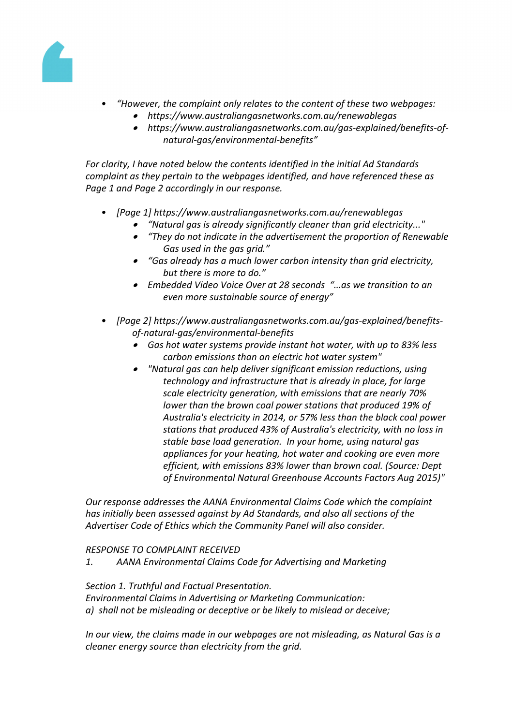

- *• "However, the complaint only relates to the content of these two webpages:*
	- *https://www.australiangasnetworks.com.au/renewablegas*
		- *https://www.australiangasnetworks.com.au/gas-explained/benefits-ofnatural-gas/environmental-benefits"*

*For clarity, I have noted below the contents identified in the initial Ad Standards complaint as they pertain to the webpages identified, and have referenced these as Page 1 and Page 2 accordingly in our response.*

- *• [Page 1] https://www.australiangasnetworks.com.au/renewablegas*
	- . *"Natural gas is already significantly cleaner than grid electricity..."*
	- $\bullet$  *"They do not indicate in the advertisement the proportion of Renewable Gas used in the gas grid."*
	- *"Gas already has a much lower carbon intensity than grid electricity, but there is more to do."*
	- *Embedded Video Voice Over at 28 seconds "…as we transition to an even more sustainable source of energy"*
- *• [Page 2] https://www.australiangasnetworks.com.au/gas-explained/benefitsof-natural-gas/environmental-benefits*
	- *Gas hot water systems provide instant hot water, with up to 83% less carbon emissions than an electric hot water system"*
	- *"Natural gas can help deliver significant emission reductions, using technology and infrastructure that is already in place, for large scale electricity generation, with emissions that are nearly 70% lower than the brown coal power stations that produced 19% of Australia's electricity in 2014, or 57% less than the black coal power stations that produced 43% of Australia's electricity, with no loss in stable base load generation. In your home, using natural gas appliances for your heating, hot water and cooking are even more efficient, with emissions 83% lower than brown coal. (Source: Dept of Environmental Natural Greenhouse Accounts Factors Aug 2015)"*

*Our response addresses the AANA Environmental Claims Code which the complaint has initially been assessed against by Ad Standards, and also all sections of the Advertiser Code of Ethics which the Community Panel will also consider.*

*RESPONSE TO COMPLAINT RECEIVED*

*1. AANA Environmental Claims Code for Advertising and Marketing*

*Section 1. Truthful and Factual Presentation.*

*Environmental Claims in Advertising or Marketing Communication: a) shall not be misleading or deceptive or be likely to mislead or deceive;*

*In our view, the claims made in our webpages are not misleading, as Natural Gas is a cleaner energy source than electricity from the grid.*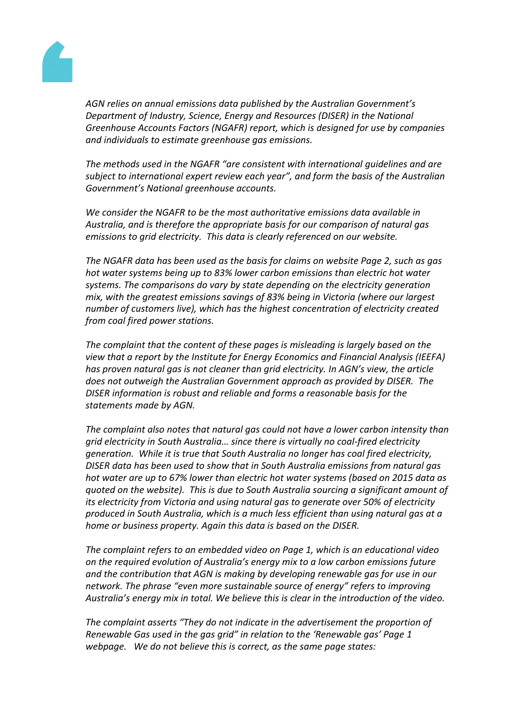

*AGN relies on annual emissions data published by the Australian Government's Department of Industry, Science, Energy and Resources (DISER) in the National Greenhouse Accounts Factors (NGAFR) report, which is designed for use by companies and individuals to estimate greenhouse gas emissions.*

*The methods used in the NGAFR "are consistent with international guidelines and are subject to international expert review each year", and form the basis of the Australian Government's National greenhouse accounts.* 

*We consider the NGAFR to be the most authoritative emissions data available in Australia, and is therefore the appropriate basis for our comparison of natural gas emissions to grid electricity. This data is clearly referenced on our website.*

*The NGAFR data has been used as the basis for claims on website Page 2, such as gas hot water systems being up to 83% lower carbon emissions than electric hot water systems. The comparisons do vary by state depending on the electricity generation mix, with the greatest emissions savings of 83% being in Victoria (where our largest number of customers live), which has the highest concentration of electricity created from coal fired power stations.*

*The complaint that the content of these pages is misleading is largely based on the view that a report by the Institute for Energy Economics and Financial Analysis (IEEFA) has proven natural gas is not cleaner than grid electricity. In AGN's view, the article does not outweigh the Australian Government approach as provided by DISER. The DISER information is robust and reliable and forms a reasonable basis for the statements made by AGN.* 

*The complaint also notes that natural gas could not have a lower carbon intensity than grid electricity in South Australia… since there is virtually no coal-fired electricity generation. While it is true that South Australia no longer has coal fired electricity, DISER data has been used to show that in South Australia emissions from natural gas hot water are up to 67% lower than electric hot water systems (based on 2015 data as quoted on the website). This is due to South Australia sourcing a significant amount of its electricity from Victoria and using natural gas to generate over 50% of electricity produced in South Australia, which is a much less efficient than using natural gas at a home or business property. Again this data is based on the DISER.*

*The complaint refers to an embedded video on Page 1, which is an educational video on the required evolution of Australia's energy mix to a low carbon emissions future and the contribution that AGN is making by developing renewable gas for use in our network. The phrase "even more sustainable source of energy" refers to improving Australia's energy mix in total. We believe this is clear in the introduction of the video.* 

*The complaint asserts "They do not indicate in the advertisement the proportion of Renewable Gas used in the gas grid" in relation to the 'Renewable gas' Page 1 webpage. We do not believe this is correct, as the same page states:*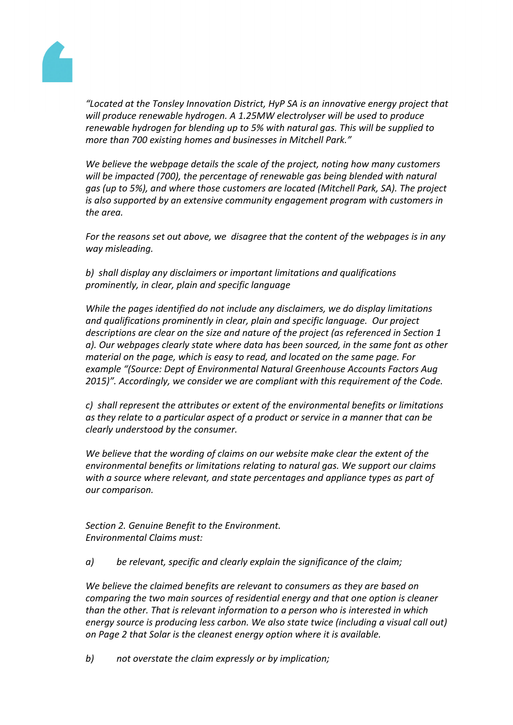

*"Located at the Tonsley Innovation District, HyP SA is an innovative energy project that will produce renewable hydrogen. A 1.25MW electrolyser will be used to produce renewable hydrogen for blending up to 5% with natural gas. This will be supplied to more than 700 existing homes and businesses in Mitchell Park."* 

*We believe the webpage details the scale of the project, noting how many customers will be impacted (700), the percentage of renewable gas being blended with natural gas (up to 5%), and where those customers are located (Mitchell Park, SA). The project is also supported by an extensive community engagement program with customers in the area.*

*For the reasons set out above, we disagree that the content of the webpages is in any way misleading.*

*b) shall display any disclaimers or important limitations and qualifications prominently, in clear, plain and specific language*

*While the pages identified do not include any disclaimers, we do display limitations and qualifications prominently in clear, plain and specific language. Our project descriptions are clear on the size and nature of the project (as referenced in Section 1 a). Our webpages clearly state where data has been sourced, in the same font as other material on the page, which is easy to read, and located on the same page. For example "(Source: Dept of Environmental Natural Greenhouse Accounts Factors Aug 2015)". Accordingly, we consider we are compliant with this requirement of the Code.*

*c) shall represent the attributes or extent of the environmental benefits or limitations as they relate to a particular aspect of a product or service in a manner that can be clearly understood by the consumer.*

*We believe that the wording of claims on our website make clear the extent of the environmental benefits or limitations relating to natural gas. We support our claims with a source where relevant, and state percentages and appliance types as part of our comparison.*

*Section 2. Genuine Benefit to the Environment. Environmental Claims must:*

*a) be relevant, specific and clearly explain the significance of the claim;*

*We believe the claimed benefits are relevant to consumers as they are based on comparing the two main sources of residential energy and that one option is cleaner than the other. That is relevant information to a person who is interested in which energy source is producing less carbon. We also state twice (including a visual call out) on Page 2 that Solar is the cleanest energy option where it is available.* 

*b) not overstate the claim expressly or by implication;*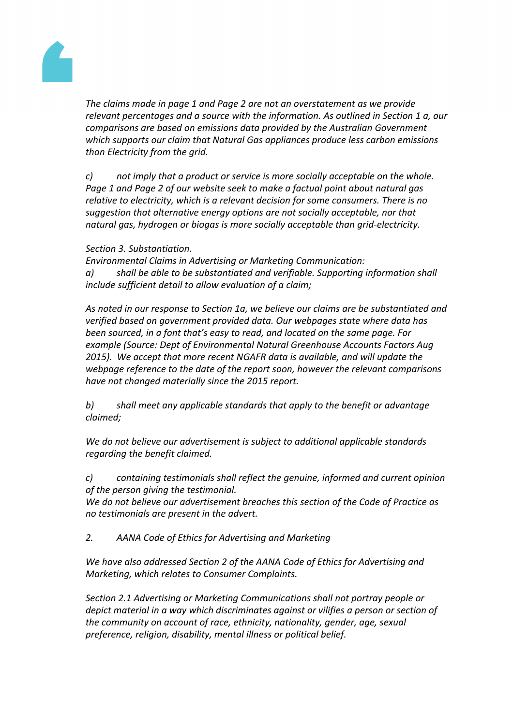

*The claims made in page 1 and Page 2 are not an overstatement as we provide relevant percentages and a source with the information. As outlined in Section 1 a, our comparisons are based on emissions data provided by the Australian Government which supports our claim that Natural Gas appliances produce less carbon emissions than Electricity from the grid.*

*c) not imply that a product or service is more socially acceptable on the whole. Page 1 and Page 2 of our website seek to make a factual point about natural gas relative to electricity, which is a relevant decision for some consumers. There is no suggestion that alternative energy options are not socially acceptable, nor that natural gas, hydrogen or biogas is more socially acceptable than grid-electricity.*

#### *Section 3. Substantiation.*

*Environmental Claims in Advertising or Marketing Communication: a) shall be able to be substantiated and verifiable. Supporting information shall include sufficient detail to allow evaluation of a claim;*

*As noted in our response to Section 1a, we believe our claims are be substantiated and verified based on government provided data. Our webpages state where data has been sourced, in a font that's easy to read, and located on the same page. For example (Source: Dept of Environmental Natural Greenhouse Accounts Factors Aug 2015). We accept that more recent NGAFR data is available, and will update the webpage reference to the date of the report soon, however the relevant comparisons have not changed materially since the 2015 report.*

*b) shall meet any applicable standards that apply to the benefit or advantage claimed;*

*We do not believe our advertisement is subject to additional applicable standards regarding the benefit claimed.*

*c) containing testimonials shall reflect the genuine, informed and current opinion of the person giving the testimonial.*

*We do not believe our advertisement breaches this section of the Code of Practice as no testimonials are present in the advert.*

*2. AANA Code of Ethics for Advertising and Marketing*

*We have also addressed Section 2 of the AANA Code of Ethics for Advertising and Marketing, which relates to Consumer Complaints.*

*Section 2.1 Advertising or Marketing Communications shall not portray people or depict material in a way which discriminates against or vilifies a person or section of the community on account of race, ethnicity, nationality, gender, age, sexual preference, religion, disability, mental illness or political belief.*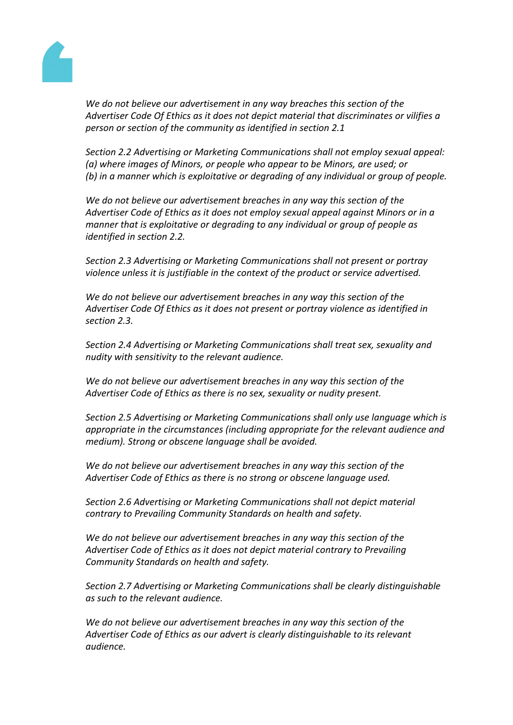

*We do not believe our advertisement in any way breaches this section of the Advertiser Code Of Ethics as it does not depict material that discriminates or vilifies a person or section of the community as identified in section 2.1*

*Section 2.2 Advertising or Marketing Communications shall not employ sexual appeal: (a) where images of Minors, or people who appear to be Minors, are used; or (b) in a manner which is exploitative or degrading of any individual or group of people.*

*We do not believe our advertisement breaches in any way this section of the Advertiser Code of Ethics as it does not employ sexual appeal against Minors or in a manner that is exploitative or degrading to any individual or group of people as identified in section 2.2.* 

*Section 2.3 Advertising or Marketing Communications shall not present or portray violence unless it is justifiable in the context of the product or service advertised.*

*We do not believe our advertisement breaches in any way this section of the Advertiser Code Of Ethics as it does not present or portray violence as identified in section 2.3.* 

*Section 2.4 Advertising or Marketing Communications shall treat sex, sexuality and nudity with sensitivity to the relevant audience.*

*We do not believe our advertisement breaches in any way this section of the Advertiser Code of Ethics as there is no sex, sexuality or nudity present.* 

*Section 2.5 Advertising or Marketing Communications shall only use language which is appropriate in the circumstances (including appropriate for the relevant audience and medium). Strong or obscene language shall be avoided.*

*We do not believe our advertisement breaches in any way this section of the Advertiser Code of Ethics as there is no strong or obscene language used.* 

*Section 2.6 Advertising or Marketing Communications shall not depict material contrary to Prevailing Community Standards on health and safety.*

*We do not believe our advertisement breaches in any way this section of the Advertiser Code of Ethics as it does not depict material contrary to Prevailing Community Standards on health and safety.*

*Section 2.7 Advertising or Marketing Communications shall be clearly distinguishable as such to the relevant audience.*

*We do not believe our advertisement breaches in any way this section of the Advertiser Code of Ethics as our advert is clearly distinguishable to its relevant audience.*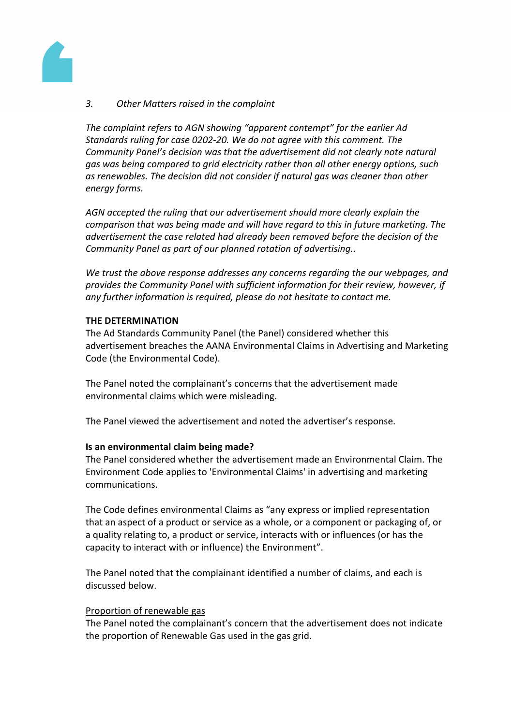

#### *3. Other Matters raised in the complaint*

*The complaint refers to AGN showing "apparent contempt" for the earlier Ad Standards ruling for case 0202-20. We do not agree with this comment. The Community Panel's decision was that the advertisement did not clearly note natural gas was being compared to grid electricity rather than all other energy options, such as renewables. The decision did not consider if natural gas was cleaner than other energy forms.*

*AGN accepted the ruling that our advertisement should more clearly explain the comparison that was being made and will have regard to this in future marketing. The advertisement the case related had already been removed before the decision of the Community Panel as part of our planned rotation of advertising..*

*We trust the above response addresses any concerns regarding the our webpages, and provides the Community Panel with sufficient information for their review, however, if any further information is required, please do not hesitate to contact me.*

#### **THE DETERMINATION**

The Ad Standards Community Panel (the Panel) considered whether this advertisement breaches the AANA Environmental Claims in Advertising and Marketing Code (the Environmental Code).

The Panel noted the complainant's concerns that the advertisement made environmental claims which were misleading.

The Panel viewed the advertisement and noted the advertiser's response.

#### **Is an environmental claim being made?**

The Panel considered whether the advertisement made an Environmental Claim. The Environment Code applies to 'Environmental Claims' in advertising and marketing communications.

The Code defines environmental Claims as "any express or implied representation that an aspect of a product or service as a whole, or a component or packaging of, or a quality relating to, a product or service, interacts with or influences (or has the capacity to interact with or influence) the Environment".

The Panel noted that the complainant identified a number of claims, and each is discussed below.

#### Proportion of renewable gas

The Panel noted the complainant's concern that the advertisement does not indicate the proportion of Renewable Gas used in the gas grid.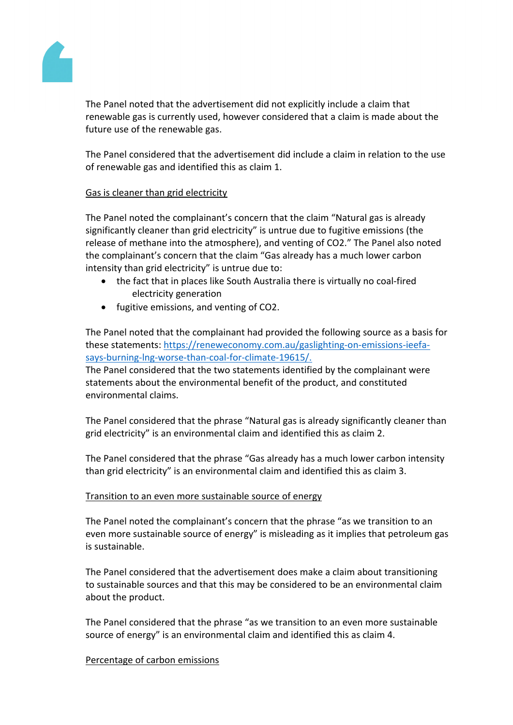ThePanel noted that the advertisement did not explicitly include claimthat renewable gas currently used, however considered that alimismadeabout the future use of therenewable gas.

ThePanel considered that the advertisemed include a claim in relation the use of renewable gas and identified these claim 1.

# Gasis cleaner thangrid electricity

ThePanel noted thecomplainant'sconcernthat the claim"Natural gas isalready significantly cleaner thagrid electricity" is untrue due to fugitive emission the release of methane into the atmosphere) and venting of CO2." The Panel alsonoted the complainant's concern that the aim "Gasalready has a muchlower carbon intensity than grid electricity''s untrue due to:

the factthat in places like SoutAustralia there is virtually no coal-fired electricitygeneration

fugitive emissions and venting of CO2.

ThePanel noted that the complainant had provided the following purceas a basisfor thesestatements[:https://reneweconomy.com.au/gaslighting-on-emissions-iee](https://reneweconomy.com.au/gaslighting-on-emissions-ieefa-says-burning-lng-worse-than-coal-for-climate-19615/)fa[says-burning-lng-worse-than-coal-for-climate-196](https://reneweconomy.com.au/gaslighting-on-emissions-ieefa-says-burning-lng-worse-than-coal-for-climate-19615/)15/.

ThePanel considered that the twotatementsidentified by the complainantwere statementsabout theenvironmentalbenefit of the product,andconstituted environmental claims.

ThePanel considered that the phrase "Natural gas is already significaled werthan grid electricity" is an environmental claim and entified thisas claim 2.

ThePanel considered that the phrase "Gas already has a much lower carbon intensity than gridelectricity" isan environmental claimand identified thisas claim3.

# Transition to an evemore sustainable source energy

ThePanel noted the complainant's concernthat the phrase "as we transition to an even more sustainable source energy" is misleading itimpliesthat petroleumgas is sustainable.

ThePanel considered that the advertisement designals a claimabout transitioning to sustainablesources and thismay be considered to bean environmentablaim about theproduct.

ThePanel considered that the phrase "are transitionto an even moresustainable source ofenergy" isan environmental claim and dentified thisas claim.

# Percentage of carboamissions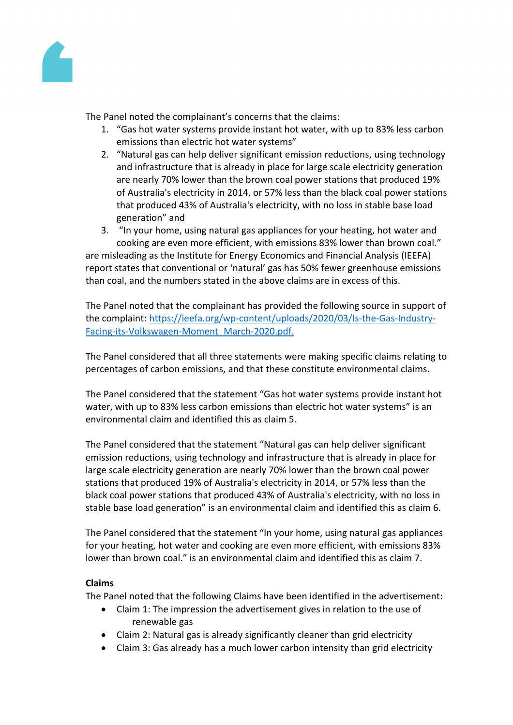ThePanel noted thecomplainant'sconcerns thatthe claims:

- 1. "Gashot water systems providenstant hotwater, withup to 83% less carbon emissionsthan electric hot water systems"
- 2. "Natural gas can helpleliver significant emission reductions, ingtechnology andinfrastructurethat isalreadyin place for large scale electricity eneration arenearly70% lower than the brown coal power stations at produced 19% of Australia's electricity i@014,or 57% lesshan the black coal power stations that produced 43% of Australia ectricity, with noloss in stable basebad generation" and
- 3. "In yourhome,usingnatural gasappliancesfor yourheating,hot waterand cookingare even more efficient, with emissions 83% lower than wn coal."

are misleading as the estitute for Energy Economics and Financial Analysis (IEEFA) report states that conventional onatural' gashas50% fewer greenhouse missions than coal, and the numbers stated the above claims are in excess fthis.

ThePanel noted that the complainant has provide the following source in support of the complaint[:https://ieefa.org/wp-content/uploads/2020/03/Is-the-Gas-Indust](https://ieefa.org/wp-content/uploads/2020/03/Is-the-Gas-Industry-Facing-its-Volkswagen-Moment_March-2020.pdf)ry-[Facing-its-Volkswagen-Moment\\_March-2020.](https://ieefa.org/wp-content/uploads/2020/03/Is-the-Gas-Industry-Facing-its-Volkswagen-Moment_March-2020.pdf)pdf.

ThePanel considered that all three statementeremaking specific claims lating to percentages of carbon emissiors and that these constitute environmental claims.

ThePanel considered that the statement "Gas hot water system sideinstant hot water, with upto 83% lesscarbon emissiont than electric hot water systems' is an environmental claim and identifiethis asclaim 5.

ThePanel considered that the statement "Naturals carhelp deliver significant emission reductions, using technology and infrastructure that is already in place for large scale electricitgeneration arenearly 70% lower thathe browncoalpower stationsthat produced19% ofAustralia's electricity in 2014, or 57% less than the black coal powestationsthat produced 43% of Australia's electricity, with no loss in stable base loadeneration" is an environmental claim and entified thisas claim 6.

ThePanel considered that the statement "In your home, using natures appliances" for your heating,hot water and cookingare even more efficient, withe mission \$3% lowerthan brown coal." is anenvironmental claimand identifiedthisas claim7.

# Claims

ThePanel noted that the ollowing Claims have been identified in the advertisement:

Claim1: The impression the advertisementives in relation the use of renewable gas

Claim2: Naturalgasis already significantly eanerthan grid electricity Claim3: Gas alread has a much lowe carbon intensity than grid electricity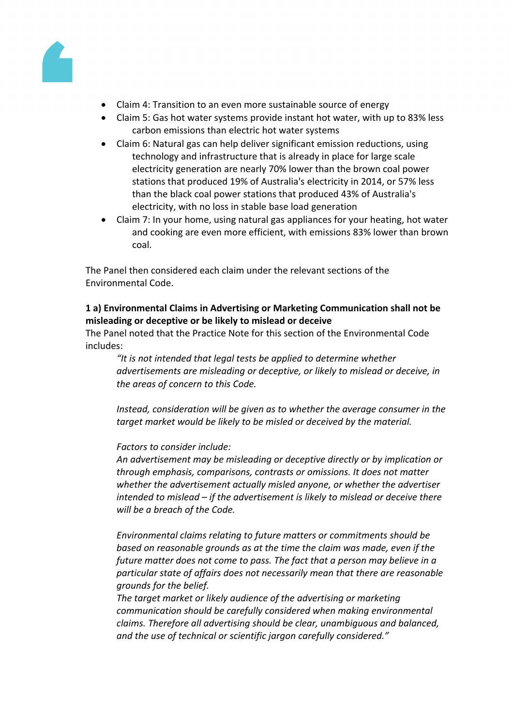

- Claim 4: Transition to an even more sustainable source of energy
- Claim 5: Gas hot water systems provide instant hot water, with up to 83% less carbon emissions than electric hot water systems
- Claim 6: Natural gas can help deliver significant emission reductions, using technology and infrastructure that is already in place for large scale electricity generation are nearly 70% lower than the brown coal power stations that produced 19% of Australia's electricity in 2014, or 57% less than the black coal power stations that produced 43% of Australia's electricity, with no loss in stable base load generation
- Claim 7: In your home, using natural gas appliances for your heating, hot water and cooking are even more efficient, with emissions 83% lower than brown coal.

The Panel then considered each claim under the relevant sections of the Environmental Code.

# **1 a) Environmental Claims in Advertising or Marketing Communication shall not be misleading or deceptive or be likely to mislead or deceive**

The Panel noted that the Practice Note for this section of the Environmental Code includes:

*"It is not intended that legal tests be applied to determine whether advertisements are misleading or deceptive, or likely to mislead or deceive, in the areas of concern to this Code.*

*Instead, consideration will be given as to whether the average consumer in the target market would be likely to be misled or deceived by the material.*

# *Factors to consider include:*

*An advertisement may be misleading or deceptive directly or by implication or through emphasis, comparisons, contrasts or omissions. It does not matter whether the advertisement actually misled anyone, or whether the advertiser intended to mislead – if the advertisement is likely to mislead or deceive there will be a breach of the Code.*

*Environmental claims relating to future matters or commitments should be based on reasonable grounds as at the time the claim was made, even if the future matter does not come to pass. The fact that a person may believe in a particular state of affairs does not necessarily mean that there are reasonable grounds for the belief.*

*The target market or likely audience of the advertising or marketing communication should be carefully considered when making environmental claims. Therefore all advertising should be clear, unambiguous and balanced, and the use of technical or scientific jargon carefully considered."*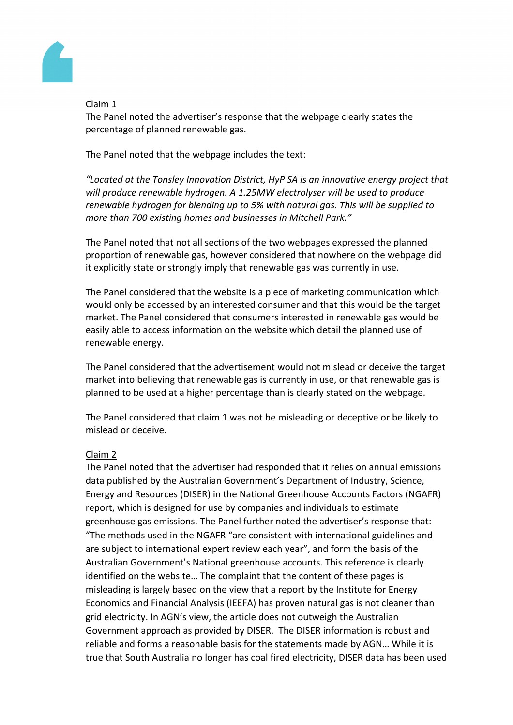

### Claim 1

The Panel noted the advertiser's response that the webpage clearly states the percentage of planned renewable gas.

The Panel noted that the webpage includes the text:

*"Located at the Tonsley Innovation District, HyP SA is an innovative energy project that will produce renewable hydrogen. A 1.25MW electrolyser will be used to produce renewable hydrogen for blending up to 5% with natural gas. This will be supplied to more than 700 existing homes and businesses in Mitchell Park."* 

The Panel noted that not all sections of the two webpages expressed the planned proportion of renewable gas, however considered that nowhere on the webpage did it explicitly state or strongly imply that renewable gas was currently in use.

The Panel considered that the website is a piece of marketing communication which would only be accessed by an interested consumer and that this would be the target market. The Panel considered that consumers interested in renewable gas would be easily able to access information on the website which detail the planned use of renewable energy.

The Panel considered that the advertisement would not mislead or deceive the target market into believing that renewable gas is currently in use, or that renewable gas is planned to be used at a higher percentage than is clearly stated on the webpage.

The Panel considered that claim 1 was not be misleading or deceptive or be likely to mislead or deceive.

# Claim 2

The Panel noted that the advertiser had responded that it relies on annual emissions data published by the Australian Government's Department of Industry, Science, Energy and Resources (DISER) in the National Greenhouse Accounts Factors (NGAFR) report, which is designed for use by companies and individuals to estimate greenhouse gas emissions. The Panel further noted the advertiser's response that: "The methods used in the NGAFR "are consistent with international guidelines and are subject to international expert review each year", and form the basis of the Australian Government's National greenhouse accounts. This reference is clearly identified on the website… The complaint that the content of these pages is misleading is largely based on the view that a report by the Institute for Energy Economics and Financial Analysis (IEEFA) has proven natural gas is not cleaner than grid electricity. In AGN's view, the article does not outweigh the Australian Government approach as provided by DISER. The DISER information is robust and reliable and forms a reasonable basis for the statements made by AGN… While it is true that South Australia no longer has coal fired electricity, DISER data has been used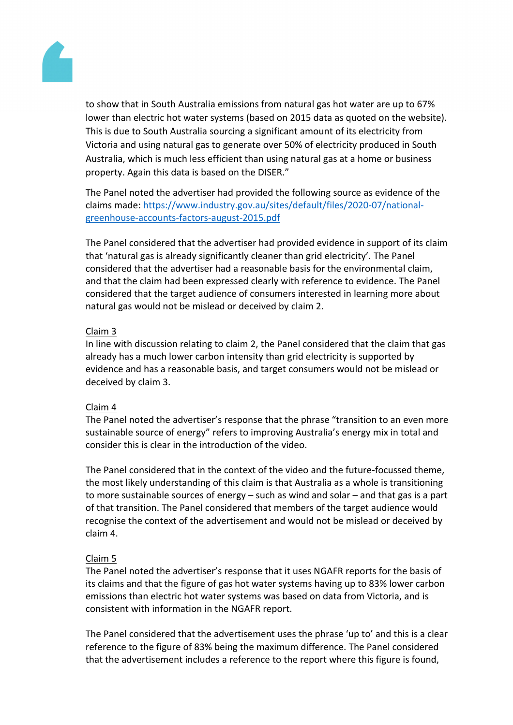to show that in SouthAustralia emissions fromaturalgas hotwater areup to 67% lower than electric hotwater systems (based of 015 data asquoted on the website). This is due o SouthAustralia sourcing significant amount fits electricity from Victoria andusingnaturalgasto generateover50%of electricityproduced inSouth Australia, which ismuch lessefficient than using natural gas ata home or business property. Againthis data is based othe DISER."

ThePanel noted theadvertiser had provided the following souras evidence ofthe claims madehttps://www.industry.gov.au/sites/default/files/2020-07/national[greenhouse-accounts-factors-august-2015](https://www.industry.gov.au/sites/default/files/2020-07/national-greenhouse-accounts-factors-august-2015.pdf).pdf

ThePanel considered that the advertiser had vided evidence in support itsclaim that 'natural gas is already significantly cleaner than grid electricitionconsidered that theadvertiserhad a reasonableasis forthe environmentalclaim, and that the claimhad been expressedearly withreference to evidence.The Panel considered that the arget audience of consumersinterestedin learning more about natural gas would not be mislead or deceived by aim 2.

# Claim 3

In line with discussionelating to claim2, the Panebonsidered that the claimthat gas already has a much lower carbonintensity than grid electricitics supported by evidence andhas a reasonable basis, and targensumers would not be mislead or deceived byclaim 3.

# Claim 4

ThePanel noted theadvertiser'sresponsethat the phrase "transitionto anevenmore sustainable source of energretersto improving Australia's nergymix in total and consider this isclearin the introductionof the video.

ThePanel considered that in the context of the videned the future-focussed heme, the mostlikely understanding of this claim is that ustralia as wholeis transitioning to more sustainablesources of energy  $-$  such a gind and solar  $-$  and that as is a part of that transition. The Panel considerthat membersof the target audience would recognisethe context of the advertisement and would nbemislead ordeceivedby claim 4.

# Claim 5

ThePanel noted theadvertiser's responsethat it uses NGAFReports for the basis of its claims and that the figure of gas hotwater systems having to 83% lower carbon emissions thanelectrichot water systems was based on datarom Victoria, and is consistent withinformation in the NGAFReport.

ThePanel considered that the advertisement is the phrase up to' and thisis a clear reference tothe figure of 83% being he maximum difference.The Panelconsidered that the advertisementincludes a referenct the report where this figures found,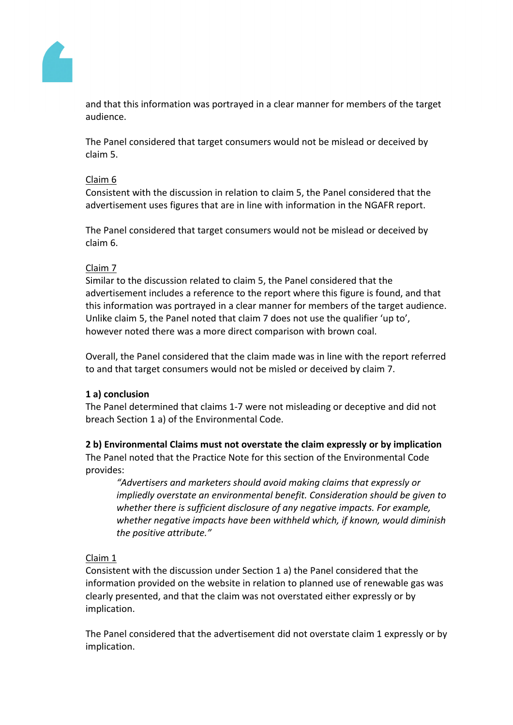

and that this information was portrayed in a clear manner for members of the target audience.

The Panel considered that target consumers would not be mislead or deceived by claim 5.

#### Claim 6

Consistent with the discussion in relation to claim 5, the Panel considered that the advertisement uses figures that are in line with information in the NGAFR report.

The Panel considered that target consumers would not be mislead or deceived by claim 6.

#### Claim 7

Similar to the discussion related to claim 5, the Panel considered that the advertisement includes a reference to the report where this figure is found, and that this information was portrayed in a clear manner for members of the target audience. Unlike claim 5, the Panel noted that claim 7 does not use the qualifier 'up to', however noted there was a more direct comparison with brown coal.

Overall, the Panel considered that the claim made was in line with the report referred to and that target consumers would not be misled or deceived by claim 7.

#### **1 a) conclusion**

The Panel determined that claims 1-7 were not misleading or deceptive and did not breach Section 1 a) of the Environmental Code.

# **2 b) Environmental Claims must not overstate the claim expressly or by implication**

The Panel noted that the Practice Note for this section of the Environmental Code provides:

*"Advertisers and marketers should avoid making claims that expressly or impliedly overstate an environmental benefit. Consideration should be given to whether there is sufficient disclosure of any negative impacts. For example, whether negative impacts have been withheld which, if known, would diminish the positive attribute."*

# Claim 1

Consistent with the discussion under Section 1 a) the Panel considered that the information provided on the website in relation to planned use of renewable gas was clearly presented, and that the claim was not overstated either expressly or by implication.

The Panel considered that the advertisement did not overstate claim 1 expressly or by implication.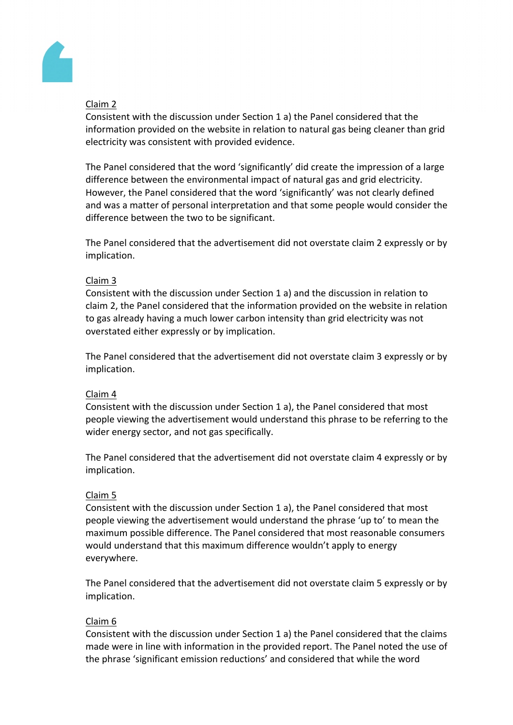

# Claim 2

Consistent with the discussion under Section 1 a) the Panel considered that the information provided on the website in relation to natural gas being cleaner than grid electricity was consistent with provided evidence.

The Panel considered that the word 'significantly' did create the impression of a large difference between the environmental impact of natural gas and grid electricity. However, the Panel considered that the word 'significantly' was not clearly defined and was a matter of personal interpretation and that some people would consider the difference between the two to be significant.

The Panel considered that the advertisement did not overstate claim 2 expressly or by implication.

# Claim 3

Consistent with the discussion under Section 1 a) and the discussion in relation to claim 2, the Panel considered that the information provided on the website in relation to gas already having a much lower carbon intensity than grid electricity was not overstated either expressly or by implication.

The Panel considered that the advertisement did not overstate claim 3 expressly or by implication.

# Claim 4

Consistent with the discussion under Section 1 a), the Panel considered that most people viewing the advertisement would understand this phrase to be referring to the wider energy sector, and not gas specifically.

The Panel considered that the advertisement did not overstate claim 4 expressly or by implication.

# Claim 5

Consistent with the discussion under Section 1 a), the Panel considered that most people viewing the advertisement would understand the phrase 'up to' to mean the maximum possible difference. The Panel considered that most reasonable consumers would understand that this maximum difference wouldn't apply to energy everywhere.

The Panel considered that the advertisement did not overstate claim 5 expressly or by implication.

# Claim 6

Consistent with the discussion under Section 1 a) the Panel considered that the claims made were in line with information in the provided report. The Panel noted the use of the phrase 'significant emission reductions' and considered that while the word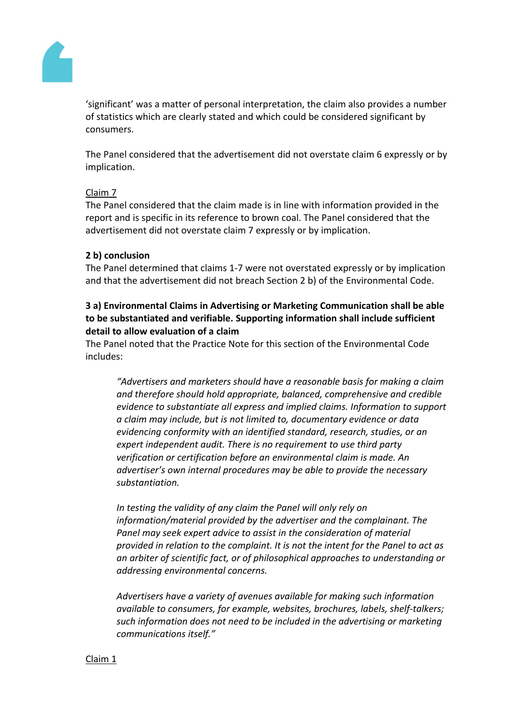

'significant' was a matter of personal interpretation, the claim also provides a number of statistics which are clearly stated and which could be considered significant by consumers.

The Panel considered that the advertisement did not overstate claim 6 expressly or by implication.

#### Claim 7

The Panel considered that the claim made is in line with information provided in the report and is specific in its reference to brown coal. The Panel considered that the advertisement did not overstate claim 7 expressly or by implication.

#### **2 b) conclusion**

The Panel determined that claims 1-7 were not overstated expressly or by implication and that the advertisement did not breach Section 2 b) of the Environmental Code.

# **3 a) Environmental Claims in Advertising or Marketing Communication shall be able to be substantiated and verifiable. Supporting information shall include sufficient detail to allow evaluation of a claim**

The Panel noted that the Practice Note for this section of the Environmental Code includes:

*"Advertisers and marketers should have a reasonable basis for making a claim and therefore should hold appropriate, balanced, comprehensive and credible evidence to substantiate all express and implied claims. Information to support a claim may include, but is not limited to, documentary evidence or data evidencing conformity with an identified standard, research, studies, or an expert independent audit. There is no requirement to use third party verification or certification before an environmental claim is made. An advertiser's own internal procedures may be able to provide the necessary substantiation.*

*In testing the validity of any claim the Panel will only rely on information/material provided by the advertiser and the complainant. The Panel may seek expert advice to assist in the consideration of material provided in relation to the complaint. It is not the intent for the Panel to act as an arbiter of scientific fact, or of philosophical approaches to understanding or addressing environmental concerns.*

*Advertisers have a variety of avenues available for making such information available to consumers, for example, websites, brochures, labels, shelf-talkers; such information does not need to be included in the advertising or marketing communications itself."*

#### Claim 1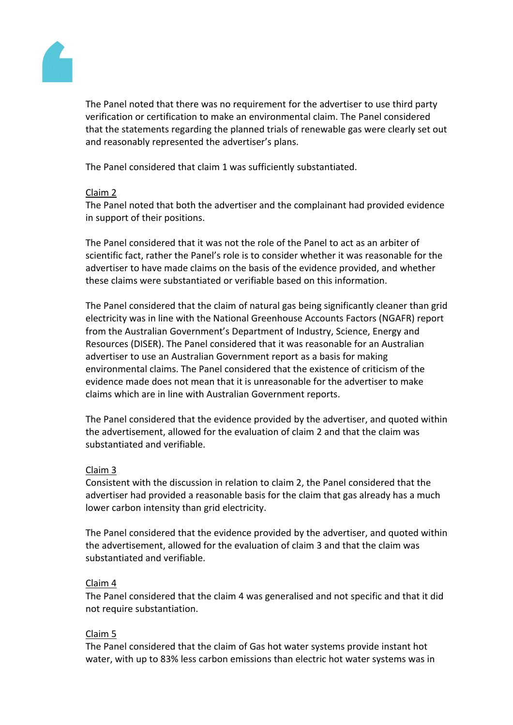

The Panel noted that there was no requirement for the advertiser to use third party verification or certification to make an environmental claim. The Panel considered that the statements regarding the planned trials of renewable gas were clearly set out and reasonably represented the advertiser's plans.

The Panel considered that claim 1 was sufficiently substantiated.

#### Claim 2

The Panel noted that both the advertiser and the complainant had provided evidence in support of their positions.

The Panel considered that it was not the role of the Panel to act as an arbiter of scientific fact, rather the Panel's role is to consider whether it was reasonable for the advertiser to have made claims on the basis of the evidence provided, and whether these claims were substantiated or verifiable based on this information.

The Panel considered that the claim of natural gas being significantly cleaner than grid electricity was in line with the National Greenhouse Accounts Factors (NGAFR) report from the Australian Government's Department of Industry, Science, Energy and Resources (DISER). The Panel considered that it was reasonable for an Australian advertiser to use an Australian Government report as a basis for making environmental claims. The Panel considered that the existence of criticism of the evidence made does not mean that it is unreasonable for the advertiser to make claims which are in line with Australian Government reports.

The Panel considered that the evidence provided by the advertiser, and quoted within the advertisement, allowed for the evaluation of claim 2 and that the claim was substantiated and verifiable.

# Claim 3

Consistent with the discussion in relation to claim 2, the Panel considered that the advertiser had provided a reasonable basis for the claim that gas already has a much lower carbon intensity than grid electricity.

The Panel considered that the evidence provided by the advertiser, and quoted within the advertisement, allowed for the evaluation of claim 3 and that the claim was substantiated and verifiable.

#### Claim 4

The Panel considered that the claim 4 was generalised and not specific and that it did not require substantiation.

# Claim 5

The Panel considered that the claim of Gas hot water systems provide instant hot water, with up to 83% less carbon emissions than electric hot water systems was in